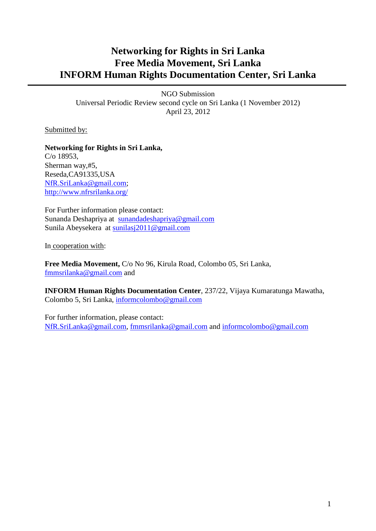# **Networking for Rights in Sri Lanka Free Media Movement, Sri Lanka INFORM Human Rights Documentation Center, Sri Lanka**

NGO Submission Universal Periodic Review second cycle on Sri Lanka (1 November 2012) April 23, 2012

Submitted by:

**Networking for Rights in Sri Lanka,**  C/o 18953, Sherman way,#5, Reseda,CA91335,USA [NfR.SriLanka@gmail.com;](mailto:NfR.SriLanka@gmail.com) <http://www.nfrsrilanka.org/>

For Further information please contact: Sunanda Deshapriya at [sunandadeshapriya@gmail.com](mailto:sunandadeshapriya@gmail.com) Sunila Abeysekera at [sunilasj2011@gmail.com](mailto:sunilasj2011@gmail.com)

In cooperation with:

**Free Media Movement,** C/o No 96, Kirula Road, Colombo 05, Sri Lanka, [fmmsrilanka@gmail.com](mailto:fmmsrilanka@gmail.com) and

**INFORM Human Rights Documentation Center**, 237/22, Vijaya Kumaratunga Mawatha, Colombo 5, Sri Lanka, [informcolombo@gmail.com](mailto:informcolombo@gmail.com)

For further information, please contact: [NfR.SriLanka@gmail.com,](mailto:NfR.SriLanka@gmail.com) [fmmsrilanka@gmail.com](mailto:fmmsrilanka@gmail.com) and [informcolombo@gmail.com](mailto:informcolombo@gmail.com)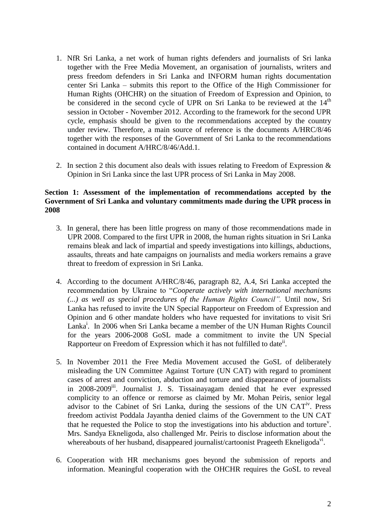- 1. NfR Sri Lanka, a net work of human rights defenders and journalists of Sri lanka together with the Free Media Movement, an organisation of journalists, writers and press freedom defenders in Sri Lanka and INFORM human rights documentation center Sri Lanka – submits this report to the Office of the High Commissioner for Human Rights (OHCHR) on the situation of Freedom of Expression and Opinion, to be considered in the second cycle of UPR on Sri Lanka to be reviewed at the  $14<sup>th</sup>$ session in October - November 2012. According to the framework for the second UPR cycle, emphasis should be given to the recommendations accepted by the country under review. Therefore, a main source of reference is the documents A/HRC/8/46 together with the responses of the Government of Sri Lanka to the recommendations contained in document A/HRC/8/46/Add.1.
- 2. In section 2 this document also deals with issues relating to Freedom of Expression & Opinion in Sri Lanka since the last UPR process of Sri Lanka in May 2008.

## **Section 1: Assessment of the implementation of recommendations accepted by the Government of Sri Lanka and voluntary commitments made during the UPR process in 2008**

- 3. In general, there has been little progress on many of those recommendations made in UPR 2008. Compared to the first UPR in 2008, the human rights situation in Sri Lanka remains bleak and lack of impartial and speedy investigations into killings, abductions, assaults, threats and hate campaigns on journalists and media workers remains a grave threat to freedom of expression in Sri Lanka.
- 4. According to the document A/HRC/8/46, paragraph 82, A.4, Sri Lanka accepted the recommendation by Ukraine to "*Cooperate actively with international mechanisms (...) as well as special procedures of the Human Rights Council".* Until now, Sri Lanka has refused to invite the UN Special Rapporteur on Freedom of Expression and Opinion and 6 other mandate holders who have requested for invitations to visit Sri Lanka<sup>i</sup>. In 2006 when Sri Lanka became a member of the UN Human Rights Council for the years 2006-2008 GoSL made a commitment to invite the UN Special Rapporteur on Freedom of Expression which it has not fulfilled to date<sup>ii</sup>.
- 5. In November 2011 the Free Media Movement accused the GoSL of deliberately misleading the UN Committee Against Torture (UN CAT) with regard to prominent cases of arrest and conviction, abduction and torture and disappearance of journalists in 2008-2009<sup>iii</sup>. Journalist J. S. Tissainayagam denied that he ever expressed complicity to an offence or remorse as claimed by Mr. Mohan Peiris, senior legal advisor to the Cabinet of Sri Lanka, during the sessions of the UN CAT<sup>iv</sup>. Press freedom activist Poddala Jayantha denied claims of the Government to the UN CAT that he requested the Police to stop the investigations into his abduction and torture<sup>v</sup>. Mrs. Sandya Ekneligoda, also challenged Mr. Peiris to disclose information about the whereabouts of her husband, disappeared journalist/cartoonist Prageeth Ekneligoda<sup>vi</sup>.
- 6. Cooperation with HR mechanisms goes beyond the submission of reports and information. Meaningful cooperation with the OHCHR requires the GoSL to reveal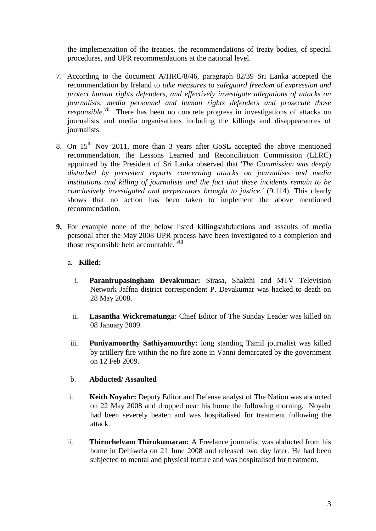the implementation of the treaties, the recommendations of treaty bodies, of special procedures, and UPR recommendations at the national level.

- 7. According to the document A/HRC/8/46, paragraph 82/39 Sri Lanka accepted the recommendation by Ireland to *take measures to safeguard freedom of expression and protect human rights defenders, and effectively investigate allegations of attacks on journalists, media personnel and human rights defenders and prosecute those responsible*.<sup>vii</sup> There has been no concrete progress in investigations of attacks on journalists and media organisations including the killings and disappearances of journalists.
- 8. On  $15<sup>th</sup>$  Nov 2011, more than 3 years after GoSL accepted the above mentioned recommendation, the Lessons Learned and Reconciliation Commission (LLRC) appointed by the President of Sri Lanka observed that '*The Commission was deeply disturbed by persistent reports concerning attacks on journalists and media institutions and killing of journalists and the fact that these incidents remain to be conclusively investigated and perpetrators brought to justice.'* (9.114). This clearly shows that no action has been taken to implement the above mentioned recommendation.
- **9.** For example none of the below listed killings/abductions and assaults of media personal after the May 2008 UPR process have been investigated to a completion and those responsible held accountable. viii

# a. **Killed:**

- i. **Paranirupasingham Devakumar:** Sirasa, Shakthi and MTV Television Network Jaffna district correspondent P. Devakumar was hacked to death on 28 May 2008.
- ii. **Lasantha Wickrematunga**: Chief Editor of The Sunday Leader was killed on 08 January 2009.
- iii. **Puniyamoorthy Sathiyamoorthy:** long standing Tamil journalist was killed by artillery fire within the no fire zone in Vanni demarcated by the government on 12 Feb 2009.

## b. **Abducted/ Assaulted**

- i. **Keith Noyahr:** Deputy Editor and Defense analyst of The Nation was abducted on 22 May 2008 and dropped near his home the following morning. Noyahr had been severely beaten and was hospitalised for treatment following the attack.
- ii. **Thiruchelvam Thirukumaran:** A Freelance journalist was abducted from his home in Dehiwela on 21 June 2008 and released two day later. He had been subjected to mental and physical torture and was hospitalised for treatment.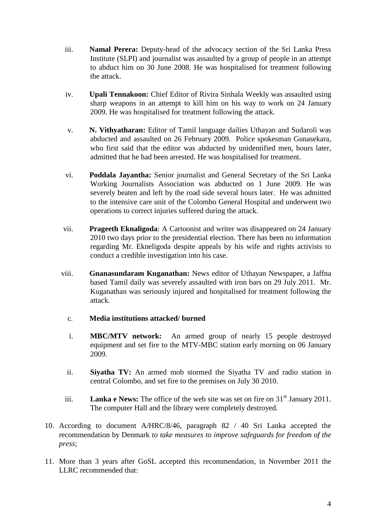- iii. **Namal Perera:** Deputy-head of the advocacy section of the Sri Lanka Press Institute (SLPI) and journalist was assaulted by a group of people in an attempt to abduct him on 30 June 2008. He was hospitalised for treatment following the attack.
- iv. **Upali Tennakoon:** Chief Editor of Rivira Sinhala Weekly was assaulted using sharp weapons in an attempt to kill him on his way to work on 24 January 2009. He was hospitalised for treatment following the attack.
- v. **N. Vithyatharan:** Editor of Tamil language dailies Uthayan and Sudaroli was abducted and assaulted on 26 February 2009. Police spokesman Gunasekara, who first said that the editor was abducted by unidentified men, hours later, admitted that he had been arrested. He was hospitalised for treatment.
- vi. **Poddala Jayantha:** Senior journalist and General Secretary of the Sri Lanka Working Journalists Association was abducted on 1 June 2009. He was severely beaten and left by the road side several hours later. He was admitted to the intensive care unit of the Colombo General Hospital and underwent two operations to correct injuries suffered during the attack.
- vii. **Prageeth Eknaligoda**: A Cartoonist and writer was disappeared on 24 January 2010 two days prior to the presidential election. There has been no information regarding Mr. Ekneligoda despite appeals by his wife and rights activists to conduct a credible investigation into his case.
- viii. **Gnanasundaram Kuganathan:** News editor of Uthayan Newspaper, a Jaffna based Tamil daily was severely assaulted with iron bars on 29 July 2011. Mr. Kuganathan was seriously injured and hospitalised for treatment following the attack.
	- c. **Media institutions attacked/ burned**
	- i. **MBC/MTV network:** An armed group of nearly 15 people destroyed equipment and set fire to the MTV-MBC station early morning on 06 January 2009.
	- ii. **Siyatha TV:** An armed mob stormed the Siyatha TV and radio station in central Colombo, and set fire to the premises on July 30 2010.
- iii. **Lanka e News:** The office of the web site was set on fire on 31<sup>st</sup> January 2011. The computer Hall and the library were completely destroyed.
- 10. According to document A/HRC/8/46, paragraph 82 / 40 Sri Lanka accepted the recommendation by Denmark *to take measures to improve safeguards for freedom of the press*;
- 11. More than 3 years after GoSL accepted this recommendation, in November 2011 the LLRC recommended that: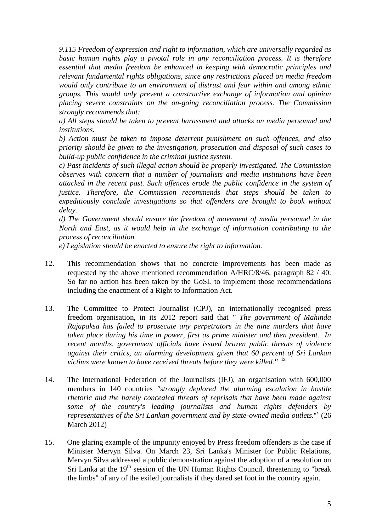*9.115 Freedom of expression and right to information, which are universally regarded as basic human rights play a pivotal role in any reconciliation process. It is therefore essential that media freedom be enhanced in keeping with democratic principles and relevant fundamental rights obligations, since any restrictions placed on media freedom would only contribute to an environment of distrust and fear within and among ethnic groups. This would only prevent a constructive exchange of information and opinion placing severe constraints on the on-going reconciliation process. The Commission strongly recommends that:*

*a) All steps should be taken to prevent harassment and attacks on media personnel and institutions.*

*b) Action must be taken to impose deterrent punishment on such offences, and also priority should be given to the investigation, prosecution and disposal of such cases to build-up public confidence in the criminal justice system.*

*c) Past incidents of such illegal action should be properly investigated. The Commission observes with concern that a number of journalists and media institutions have been attacked in the recent past. Such offences erode the public confidence in the system of justice. Therefore, the Commission recommends that steps should be taken to expeditiously conclude investigations so that offenders are brought to book without delay.*

*d) The Government should ensure the freedom of movement of media personnel in the North and East, as it would help in the exchange of information contributing to the process of reconciliation.*

*e) Legislation should be enacted to ensure the right to information.* 

- 12. This recommendation shows that no concrete improvements has been made as requested by the above mentioned recommendation A/HRC/8/46, paragraph 82 / 40. So far no action has been taken by the GoSL to implement those recommendations including the enactment of a Right to Information Act.
- 13. The Committee to Protect Journalist (CPJ), an internationally recognised press freedom organisation, in its 2012 report said that *'' The government of Mahinda Rajapaksa has failed to prosecute any perpetrators in the nine murders that have taken place during his time in power, first as prime minister and then president. In recent months, government officials have issued brazen public threats of violence against their critics, an alarming development given that 60 percent of Sri Lankan victims were known to have received threats before they were killed.''* ix
- 14. The International Federation of the Journalists (IFJ), an organisation with 600,000 members in 140 countries *''strongly deplored the alarming escalation in hostile rhetoric and the barely concealed threats of reprisals that have been made against some of the country's leading journalists and human rights defenders by*  representatives of the Sri Lankan government and by state-owned media outlets."<sup>x</sup> (26 March 2012)
- 15. One glaring example of the impunity enjoyed by Press freedom offenders is the case if Minister Mervyn Silva. On March 23, Sri Lanka's Minister for Public Relations, Mervyn Silva addressed a public demonstration against the adoption of a resolution on Sri Lanka at the  $19<sup>th</sup>$  session of the UN Human Rights Council, threatening to "break" the limbs" of any of the exiled journalists if they dared set foot in the country again.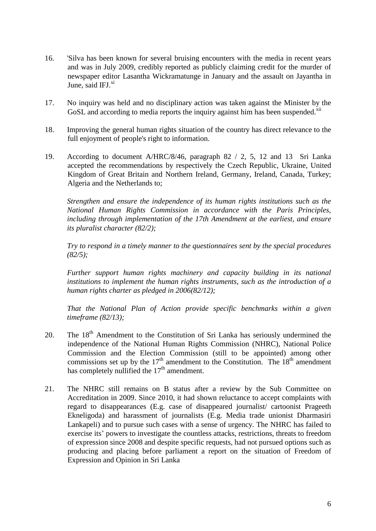- 16. 'Silva has been known for several bruising encounters with the media in recent years and was in July 2009, credibly reported as publicly claiming credit for the murder of newspaper editor Lasantha Wickramatunge in January and the assault on Jayantha in June, said IFJ. $^{x_1}$
- 17. No inquiry was held and no disciplinary action was taken against the Minister by the GoSL and according to media reports the inquiry against him has been suspended.<sup>xii</sup>
- 18. Improving the general human rights situation of the country has direct relevance to the full enjoyment of people's right to information.
- 19. According to document A/HRC/8/46, paragraph 82 / 2, 5, 12 and 13 Sri Lanka accepted the recommendations by respectively the Czech Republic, Ukraine, United Kingdom of Great Britain and Northern Ireland, Germany, Ireland, Canada, Turkey; Algeria and the Netherlands to;

*Strengthen and ensure the independence of its human rights institutions such as the National Human Rights Commission in accordance with the Paris Principles, including through implementation of the 17th Amendment at the earliest, and ensure its pluralist character (82/2);*

*Try to respond in a timely manner to the questionnaires sent by the special procedures (82/5);*

*Further support human rights machinery and capacity building in its national institutions to implement the human rights instruments, such as the introduction of a human rights charter as pledged in 2006(82/12);*

*That the National Plan of Action provide specific benchmarks within a given timeframe (82/13);*

- 20. The 18<sup>th</sup> Amendment to the Constitution of Sri Lanka has seriously undermined the independence of the National Human Rights Commission (NHRC), National Police Commission and the Election Commission (still to be appointed) among other commissions set up by the  $17<sup>th</sup>$  amendment to the Constitution. The  $18<sup>th</sup>$  amendment has completely nullified the  $17<sup>th</sup>$  amendment.
- 21. The NHRC still remains on B status after a review by the Sub Committee on Accreditation in 2009. Since 2010, it had shown reluctance to accept complaints with regard to disappearances (E.g. case of disappeared journalist/ cartoonist Prageeth Ekneligoda) and harassment of journalists (E.g. Media trade unionist Dharmasiri Lankapeli) and to pursue such cases with a sense of urgency. The NHRC has failed to exercise its' powers to investigate the countless attacks, restrictions, threats to freedom of expression since 2008 and despite specific requests, had not pursued options such as producing and placing before parliament a report on the situation of Freedom of Expression and Opinion in Sri Lanka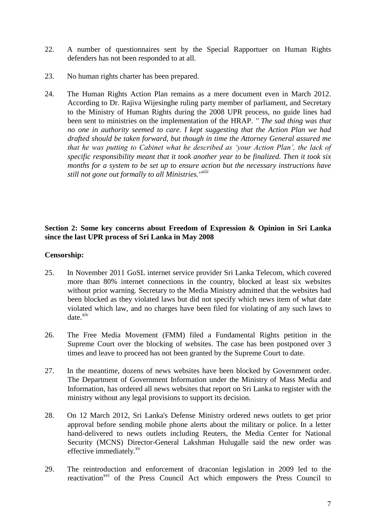- 22. A number of questionnaires sent by the Special Rapportuer on Human Rights defenders has not been responded to at all.
- 23. No human rights charter has been prepared.
- 24. The Human Rights Action Plan remains as a mere document even in March 2012. According to Dr. Rajiva Wijesinghe ruling party member of parliament, and Secretary to the Ministry of Human Rights during the 2008 UPR process, no guide lines had been sent to ministries on the implementation of the HRAP. *'' The sad thing was that no one in authority seemed to care. I kept suggesting that the Action Plan we had drafted should be taken forward, but though in time the Attorney General assured me that he was putting to Cabinet what he described as 'your Action Plan', the lack of specific responsibility meant that it took another year to be finalized. Then it took six months for a system to be set up to ensure action but the necessary instructions have still not gone out formally to all Ministries.''xiii*

# **Section 2: Some key concerns about Freedom of Expression & Opinion in Sri Lanka since the last UPR process of Sri Lanka in May 2008**

## **Censorship:**

- 25. In November 2011 GoSL internet service provider Sri Lanka Telecom, which covered more than 80% internet connections in the country, blocked at least six websites without prior warning. Secretary to the Media Ministry admitted that the websites had been blocked as they violated laws but did not specify which news item of what date violated which law, and no charges have been filed for violating of any such laws to date.<sup>xiv</sup>
- 26. The Free Media Movement (FMM) filed a Fundamental Rights petition in the Supreme Court over the blocking of websites. The case has been postponed over 3 times and leave to proceed has not been granted by the Supreme Court to date.
- 27. In the meantime, dozens of news websites have been blocked by Government order. The Department of Government Information under the Ministry of Mass Media and Information, has ordered all news websites that report on Sri Lanka to register with the ministry without any legal provisions to support its decision.
- 28. On 12 March 2012, Sri Lanka's Defense Ministry ordered news outlets to get prior approval before sending mobile phone alerts about the military or police. In a letter hand-delivered to news outlets including Reuters, the Media Center for National Security (MCNS) Director-General Lakshman Hulugalle said the new order was effective immediately.<sup>xv</sup>
- 29. The reintroduction and enforcement of draconian legislation in 2009 led to the reactivation<sup>xvi</sup> of the Press Council Act which empowers the Press Council to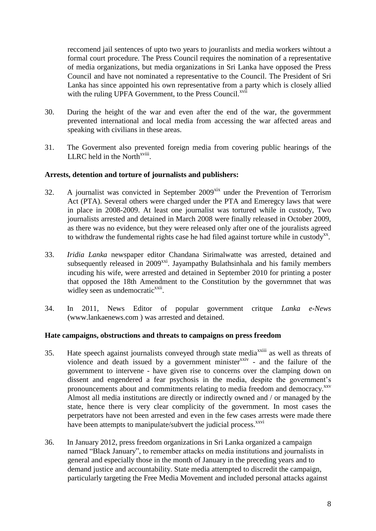reccomend jail sentences of upto two years to jouranlists and media workers wihtout a formal court procedure. The Press Council requires the nomination of a representative of media organizations, but media organizations in Sri Lanka have opposed the Press Council and have not nominated a representative to the Council. The President of Sri Lanka has since appointed his own representative from a party which is closely allied with the ruling UPFA Government, to the Press Council.<sup>xvii</sup>

- 30. During the height of the war and even after the end of the war, the govermment prevented international and local media from accessing the war affected areas and speaking with civilians in these areas.
- 31. The Goverment also prevented foreign media from covering public hearings of the LLRC held in the North $x$ <sup>viii</sup>.

## **Arrests, detention and torture of journalists and publishers:**

- 32. A journalist was convicted in September  $2009<sup>xix</sup>$  under the Prevention of Terrorism Act (PTA). Several others were charged under the PTA and Emeregcy laws that were in place in 2008-2009. At least one journalist was tortured while in custody, Two journalists arrested and detained in March 2008 were finally released in October 2009, as there was no evidence, but they were released only after one of the jouralists agreed to withdraw the fundemental rights case he had filed against torture while in custody $^{xx}$ .
- 33. *Iridia Lanka* newspaper editor Chandana Sirimalwatte was arrested, detained and subsequently released in  $2009^{xxi}$ . Jayampathy Bulathsinhala and his family members incuding his wife, were arrested and detained in September 2010 for printing a poster that opposed the 18th Amendment to the Constitution by the governmnet that was widley seen as undemocratic<sup>xxii</sup>.
- 34. In 2011, News Editor of popular government critque *Lanka e-News* (www.lankaenews.com ) was arrested and detained.

#### **Hate campaigns, obstructions and threats to campaigns on press freedom**

- 35. Hate speech against journalists conveyed through state media<sup>xxiii</sup> as well as threats of violence and death issued by a government minister  $x$ xiv - and the failure of the government to intervene - have given rise to concerns over the clamping down on dissent and engendered a fear psychosis in the media, despite the government's pronouncements about and commitments relating to media freedom and democracy.<sup>xxv</sup> Almost all media institutions are directly or indirectly owned and / or managed by the state, hence there is very clear complicity of the government. In most cases the perpetrators have not been arrested and even in the few cases arrests were made there have been attempts to manipulate/subvert the judicial process. $\frac{xxvi}{ }$
- 36. In January 2012, press freedom organizations in Sri Lanka organized a campaign named "Black January", to remember attacks on media institutions and journalists in general and especially those in the month of January in the preceding years and to demand justice and accountability. State media attempted to discredit the campaign, particularly targeting the Free Media Movement and included personal attacks against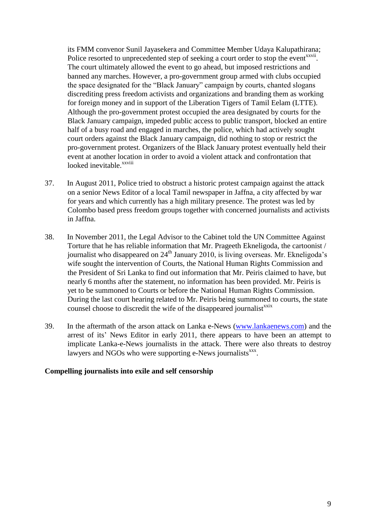its FMM convenor Sunil Jayasekera and Committee Member Udaya Kalupathirana; Police resorted to unprecedented step of seeking a court order to stop the event<sup>xxvii</sup>. The court ultimately allowed the event to go ahead, but imposed restrictions and banned any marches. However, a pro-government group armed with clubs occupied the space designated for the "Black January" campaign by courts, chanted slogans discrediting press freedom activists and organizations and branding them as working for foreign money and in support of the Liberation Tigers of Tamil Eelam (LTTE). Although the pro-government protest occupied the area designated by courts for the Black January campaign, impeded public access to public transport, blocked an entire half of a busy road and engaged in marches, the police, which had actively sought court orders against the Black January campaign, did nothing to stop or restrict the pro-government protest. Organizers of the Black January protest eventually held their event at another location in order to avoid a violent attack and confrontation that looked inevitable.<sup>xxviii</sup>

- 37. In August 2011, Police tried to obstruct a historic protest campaign against the attack on a senior News Editor of a local Tamil newspaper in Jaffna, a city affected by war for years and which currently has a high military presence. The protest was led by Colombo based press freedom groups together with concerned journalists and activists in Jaffna.
- 38. In November 2011, the Legal Advisor to the Cabinet told the UN Committee Against Torture that he has reliable information that Mr. Prageeth Ekneligoda, the cartoonist / journalist who disappeared on  $24<sup>th</sup>$  January 2010, is living overseas. Mr. Ekneligoda's wife sought the intervention of Courts, the National Human Rights Commission and the President of Sri Lanka to find out information that Mr. Peiris claimed to have, but nearly 6 months after the statement, no information has been provided. Mr. Peiris is yet to be summoned to Courts or before the National Human Rights Commission. During the last court hearing related to Mr. Peiris being summoned to courts, the state counsel choose to discredit the wife of the disappeared journalist<sup>xxix</sup>
- 39. In the aftermath of the arson attack on Lanka e-News [\(www.lankaenews.com\)](http://www.lankaenews.com/) and the arrest of its' News Editor in early 2011, there appears to have been an attempt to implicate Lanka-e-News journalists in the attack. There were also threats to destroy lawyers and NGOs who were supporting e-News journalists $x$ <sup>xxx</sup>.

#### **Compelling journalists into exile and self censorship**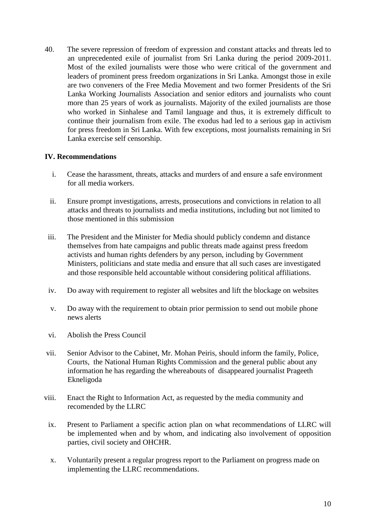40. The severe repression of freedom of expression and constant attacks and threats led to an unprecedented exile of journalist from Sri Lanka during the period 2009-2011. Most of the exiled journalists were those who were critical of the government and leaders of prominent press freedom organizations in Sri Lanka. Amongst those in exile are two conveners of the Free Media Movement and two former Presidents of the Sri Lanka Working Journalists Association and senior editors and journalists who count more than 25 years of work as journalists. Majority of the exiled journalists are those who worked in Sinhalese and Tamil language and thus, it is extremely difficult to continue their journalism from exile. The exodus had led to a serious gap in activism for press freedom in Sri Lanka. With few exceptions, most journalists remaining in Sri Lanka exercise self censorship.

## **IV. Recommendations**

- i. Cease the harassment, threats, attacks and murders of and ensure a safe environment for all media workers.
- ii. Ensure prompt investigations, arrests, prosecutions and convictions in relation to all attacks and threats to journalists and media institutions, including but not limited to those mentioned in this submission
- iii. The President and the Minister for Media should publicly condemn and distance themselves from hate campaigns and public threats made against press freedom activists and human rights defenders by any person, including by Government Ministers, politicians and state media and ensure that all such cases are investigated and those responsible held accountable without considering political affiliations.
- iv. Do away with requirement to register all websites and lift the blockage on websites
- v. Do away with the requirement to obtain prior permission to send out mobile phone news alerts
- vi. Abolish the Press Council
- vii. Senior Advisor to the Cabinet, Mr. Mohan Peiris, should inform the family, Police, Courts, the National Human Rights Commission and the general public about any information he has regarding the whereabouts of disappeared journalist Prageeth Ekneligoda
- viii. Enact the Right to Information Act, as requested by the media community and recomended by the LLRC
	- ix. Present to Parliament a specific action plan on what recommendations of LLRC will be implemented when and by whom, and indicating also involvement of opposition parties, civil society and OHCHR.
	- x. Voluntarily present a regular progress report to the Parliament on progress made on implementing the LLRC recommendations.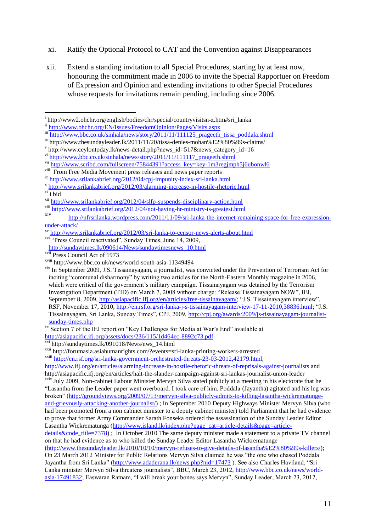- xi. Ratify the Optional Protocol to CAT and the Convention against Disappearances
- xii. Extend a standing invitation to all Special Procedures, starting by at least now, honouring the commitment made in 2006 to invite the Special Rapportuer on Freedom of Expression and Opinion and extending invitations to other Special Procedures whose requests for invitations remain pending, including since 2006.

 $x_i$  i bid

<http://www.ifj.org/en/articles/alarming-increase-in-hostile-rhetoric-threats-of-reprisals-against-journalists> and http://asiapacific.ifj.org/en/articles/halt-the-slander-campaign-against-sri-lankas-journalist-union-leader

<sup>xxiv</sup> July 2009, Non-cabinet Labour Minister Mervyn Silva stated publicly at a meeting in his electorate that he "Lasantha from the Leader paper went overboard. I took care of him. Poddala (Jayantha) agitated and his leg was broken" [\(http://groundviews.org/2009/07/13/mervyn-silva-publicly-admits-to-killing-lasantha-wickrematunge](http://groundviews.org/2009/07/13/mervyn-silva-publicly-admits-to-killing-lasantha-wickrematunge-and-grievously-attacking-another-journalist/)[and-grievously-attacking-another-journalist/\)](http://groundviews.org/2009/07/13/mervyn-silva-publicly-admits-to-killing-lasantha-wickrematunge-and-grievously-attacking-another-journalist/); In September 2010 Deputy Highways Minister Mervyn Silva (who had been promoted from a non cabinet minister to a deputy cabinet minister) told Parliament that he had evidence to prove that former Army Commander Sarath Fonseka ordered the assassination of the Sunday Leader Editor Lasantha Wickrematunga [\(http://www.island.lk/index.php?page\\_cat=article-details&page=article-](http://www.island.lk/index.php?page_cat=article-details&page=article-details&code_title=7378)

[\(http://www.thesundayleader.lk/2010/10/10/mervyn-refuses-to-give-details-of-lasantha%E2%80%99s-killers/\)](http://www.thesundayleader.lk/2010/10/10/mervyn-refuses-to-give-details-of-lasantha%E2%80%99s-killers/); On 23 March 2012 Minister for Public Relations Mervyn Silva claimed he was "the one who chased Poddala Jayantha from Sri Lanka" [\(http://www.adaderana.lk/news.php?nid=17473](http://www.adaderana.lk/news.php?nid=17473) ). See also Charles Haviland, "Sri Lanka minister Mervyn Silva threatens journalists", BBC, March 23, 2012, [http://www.bbc.co.uk/news/world](http://www.bbc.co.uk/news/world-asia-17491832)[asia-17491832;](http://www.bbc.co.uk/news/world-asia-17491832) Easwaran Ratnam, "I will break your bones says Mervyn", Sunday Leader, March 23, 2012,

 i http://www2.ohchr.org/english/bodies/chr/special/countryvisitsn-z.htm#sri\_lanka ii <http://www.ohchr.org/EN/Issues/FreedomOpinion/Pages/Visits.aspx>

iii [http://www.bbc.co.uk/sinhala/news/story/2011/11/111125\\_prageeth\\_tissa\\_poddala.shtml](http://www.bbc.co.uk/sinhala/news/story/2011/11/111125_prageeth_tissa_poddala.shtml)

iv http://www.thesundayleader.lk/2011/11/20/tissa-denies-mohan%E2%80%99s-claims/

v http://www.ceylontoday.lk/news-detail.php?news\_id=517&news\_category\_id=16

vi [http://www.bbc.co.uk/sinhala/news/story/2011/11/111117\\_prageeth.shtml](http://www.bbc.co.uk/sinhala/news/story/2011/11/111117_prageeth.shtml)

vii [http://www.scribd.com/fullscreen/75844391?access\\_key=key-1m3regjmph5j6ubonwl6](http://www.scribd.com/fullscreen/75844391?access_key=key-1m3regjmph5j6ubonwl6)

viii From Free Media Movement press releases and news paper reports

ix <http://www.srilankabrief.org/2012/04/cpj-impunity-index-sri-lanka.html>

<sup>&</sup>lt;sup>x</sup> <http://www.srilankabrief.org/2012/03/alarming-increase-in-hostile-rhetoric.html>

xii <http://www.srilankabrief.org/2012/04/slfp-suspends-disciplinary-action.html>

 $\frac{x_{\text{int}}}{\text{int}}$  <http://www.srilankabrief.org/2012/04/not-having-hr-ministry-is-greatest.html><br>xiv

[http://nfrsrilanka.wordpress.com/2011/11/09/sri-lanka-the-internet-remaining-space-for-free-expression](http://nfrsrilanka.wordpress.com/2011/11/09/sri-lanka-the-internet-remaining-space-for-free-expression-under-attack/)[under-attack/](http://nfrsrilanka.wordpress.com/2011/11/09/sri-lanka-the-internet-remaining-space-for-free-expression-under-attack/)

xv <http://www.srilankabrief.org/2012/03/sri-lanka-to-censor-news-alerts-about.html>

<sup>&</sup>lt;sup>xvi</sup> "Press Council reactivated", Sunday Times, June 14, 2009,

[http://sundaytimes.lk/090614/News/sundaytimesnews\\_10.html](http://sundaytimes.lk/090614/News/sundaytimesnews_10.html)

xvii Press Council Act of 1973

xviii http://www.bbc.co.uk/news/world-south-asia-11349494

xix In September 2009, J.S. Tissainayagam, a journalist, was convicted under the Prevention of Terrorism Act for inciting "communal disharmony" by writing two articles for the North-Eastern Monthly magazine in 2006, which were critical of the government's military campaign. Tissainayagam was detained by the Terrorism Investigation Department (TID) on March 7, 2008 without charge: "Release Tissainayagam NOW", IFJ, September 8, 2009, [http://asiapacific.ifj.org/en/articles/free-tissainayagam/;](http://asiapacific.ifj.org/en/articles/free-tissainayagam/) "J.S. Tissainayagam interview", RSF, November 17, 2010, [http://en.rsf.org/sri-lanka-j-s-tissainayagam-interview-17-11-2010,38836.html;](http://en.rsf.org/sri-lanka-j-s-tissainayagam-interview-17-11-2010,38836.html) "J.S. Tissainayagam, Sri Lanka, Sunday Times", CPJ, 2009, [http://cpj.org/awards/2009/js-tissainayagam-journalist](http://cpj.org/awards/2009/js-tissainayagam-journalist-sunday-times.php)[sunday-times.php](http://cpj.org/awards/2009/js-tissainayagam-journalist-sunday-times.php)

xx Section 7 of the IFJ report on "Key Challenges for Media at War's End" available at <http://asiapacific.ifj.org/assets/docs/236/115/1d464ec-8892c73.pdf>

xxi http://sundaytimes.lk/091018/News/nws\_14.html

xxii http://forumasia.asiahumanrights.com/?events=sri-lanka-printing-workers-arrested

xxiii [http://en.rsf.org/sri-lanka-government-orchestrated-threats-23-03-2012,42179.html,](http://en.rsf.org/sri-lanka-government-orchestrated-threats-23-03-2012,42179.html) 

[details&code\\_title=7378\)](http://www.island.lk/index.php?page_cat=article-details&page=article-details&code_title=7378) ; In October 2010 The same deputy minister made a statement to a private TV channel on that he had evidence as to who killed the Sunday Leader Editor Lasantha Wickrematunge